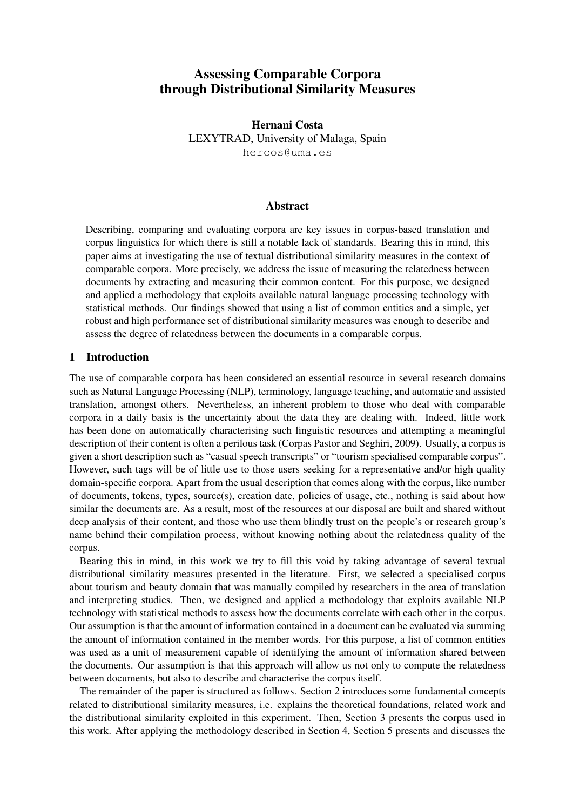# Assessing Comparable Corpora through Distributional Similarity Measures

Hernani Costa LEXYTRAD, University of Malaga, Spain hercos@uma.es

### Abstract

Describing, comparing and evaluating corpora are key issues in corpus-based translation and corpus linguistics for which there is still a notable lack of standards. Bearing this in mind, this paper aims at investigating the use of textual distributional similarity measures in the context of comparable corpora. More precisely, we address the issue of measuring the relatedness between documents by extracting and measuring their common content. For this purpose, we designed and applied a methodology that exploits available natural language processing technology with statistical methods. Our findings showed that using a list of common entities and a simple, yet robust and high performance set of distributional similarity measures was enough to describe and assess the degree of relatedness between the documents in a comparable corpus.

# 1 Introduction

The use of comparable corpora has been considered an essential resource in several research domains such as Natural Language Processing (NLP), terminology, language teaching, and automatic and assisted translation, amongst others. Nevertheless, an inherent problem to those who deal with comparable corpora in a daily basis is the uncertainty about the data they are dealing with. Indeed, little work has been done on automatically characterising such linguistic resources and attempting a meaningful description of their content is often a perilous task (Corpas Pastor and Seghiri, 2009). Usually, a corpus is given a short description such as "casual speech transcripts" or "tourism specialised comparable corpus". However, such tags will be of little use to those users seeking for a representative and/or high quality domain-specific corpora. Apart from the usual description that comes along with the corpus, like number of documents, tokens, types, source(s), creation date, policies of usage, etc., nothing is said about how similar the documents are. As a result, most of the resources at our disposal are built and shared without deep analysis of their content, and those who use them blindly trust on the people's or research group's name behind their compilation process, without knowing nothing about the relatedness quality of the corpus.

Bearing this in mind, in this work we try to fill this void by taking advantage of several textual distributional similarity measures presented in the literature. First, we selected a specialised corpus about tourism and beauty domain that was manually compiled by researchers in the area of translation and interpreting studies. Then, we designed and applied a methodology that exploits available NLP technology with statistical methods to assess how the documents correlate with each other in the corpus. Our assumption is that the amount of information contained in a document can be evaluated via summing the amount of information contained in the member words. For this purpose, a list of common entities was used as a unit of measurement capable of identifying the amount of information shared between the documents. Our assumption is that this approach will allow us not only to compute the relatedness between documents, but also to describe and characterise the corpus itself.

The remainder of the paper is structured as follows. Section 2 introduces some fundamental concepts related to distributional similarity measures, i.e. explains the theoretical foundations, related work and the distributional similarity exploited in this experiment. Then, Section 3 presents the corpus used in this work. After applying the methodology described in Section 4, Section 5 presents and discusses the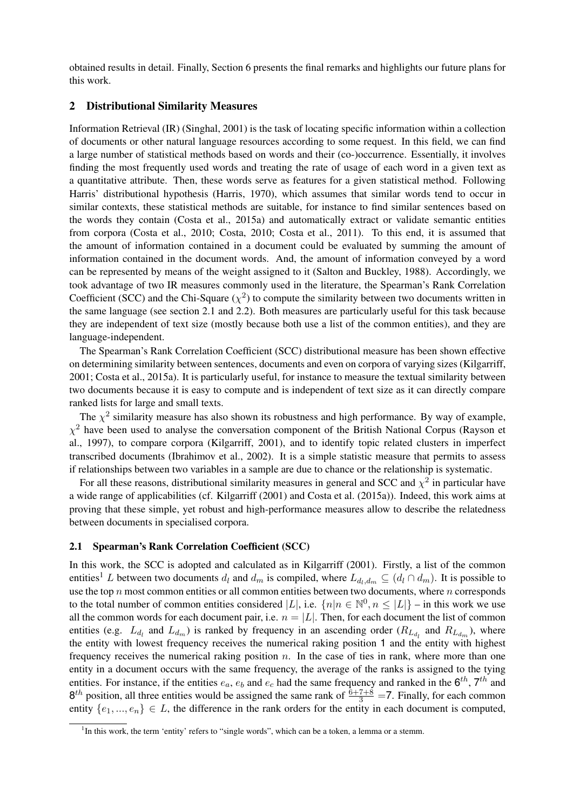obtained results in detail. Finally, Section 6 presents the final remarks and highlights our future plans for this work.

### 2 Distributional Similarity Measures

Information Retrieval (IR) (Singhal, 2001) is the task of locating specific information within a collection of documents or other natural language resources according to some request. In this field, we can find a large number of statistical methods based on words and their (co-)occurrence. Essentially, it involves finding the most frequently used words and treating the rate of usage of each word in a given text as a quantitative attribute. Then, these words serve as features for a given statistical method. Following Harris' distributional hypothesis (Harris, 1970), which assumes that similar words tend to occur in similar contexts, these statistical methods are suitable, for instance to find similar sentences based on the words they contain (Costa et al., 2015a) and automatically extract or validate semantic entities from corpora (Costa et al., 2010; Costa, 2010; Costa et al., 2011). To this end, it is assumed that the amount of information contained in a document could be evaluated by summing the amount of information contained in the document words. And, the amount of information conveyed by a word can be represented by means of the weight assigned to it (Salton and Buckley, 1988). Accordingly, we took advantage of two IR measures commonly used in the literature, the Spearman's Rank Correlation Coefficient (SCC) and the Chi-Square  $(\chi^2)$  to compute the similarity between two documents written in the same language (see section 2.1 and 2.2). Both measures are particularly useful for this task because they are independent of text size (mostly because both use a list of the common entities), and they are language-independent.

The Spearman's Rank Correlation Coefficient (SCC) distributional measure has been shown effective on determining similarity between sentences, documents and even on corpora of varying sizes (Kilgarriff, 2001; Costa et al., 2015a). It is particularly useful, for instance to measure the textual similarity between two documents because it is easy to compute and is independent of text size as it can directly compare ranked lists for large and small texts.

The  $\chi^2$  similarity measure has also shown its robustness and high performance. By way of example,  $\chi^2$  have been used to analyse the conversation component of the British National Corpus (Rayson et al., 1997), to compare corpora (Kilgarriff, 2001), and to identify topic related clusters in imperfect transcribed documents (Ibrahimov et al., 2002). It is a simple statistic measure that permits to assess if relationships between two variables in a sample are due to chance or the relationship is systematic.

For all these reasons, distributional similarity measures in general and SCC and  $\chi^2$  in particular have a wide range of applicabilities (cf. Kilgarriff (2001) and Costa et al. (2015a)). Indeed, this work aims at proving that these simple, yet robust and high-performance measures allow to describe the relatedness between documents in specialised corpora.

#### 2.1 Spearman's Rank Correlation Coefficient (SCC)

In this work, the SCC is adopted and calculated as in Kilgarriff (2001). Firstly, a list of the common entities<sup>1</sup> L between two documents  $d_l$  and  $d_m$  is compiled, where  $L_{d_l,d_m} \subseteq (d_l \cap d_m)$ . It is possible to use the top  $n$  most common entities or all common entities between two documents, where  $n$  corresponds to the total number of common entities considered |L|, i.e.  $\{n|n \in \mathbb{N}^0, n \leq |L|\}$  – in this work we use all the common words for each document pair, i.e.  $n = |L|$ . Then, for each document the list of common entities (e.g.  $L_{d_l}$  and  $L_{d_m}$ ) is ranked by frequency in an ascending order  $(R_{L_{d_l}}$  and  $R_{L_{d_m}})$ , where the entity with lowest frequency receives the numerical raking position 1 and the entity with highest frequency receives the numerical raking position  $n$ . In the case of ties in rank, where more than one entity in a document occurs with the same frequency, the average of the ranks is assigned to the tying entities. For instance, if the entities  $e_a$ ,  $e_b$  and  $e_c$  had the same frequency and ranked in the  $6^{th}$ ,  $7^{th}$  and  $8<sup>th</sup>$  position, all three entities would be assigned the same rank of  $\frac{6+7+8}{3}$  =7. Finally, for each common entity  $\{e_1, ..., e_n\} \in L$ , the difference in the rank orders for the entity in each document is computed,

<sup>&</sup>lt;sup>1</sup>In this work, the term 'entity' refers to "single words", which can be a token, a lemma or a stemm.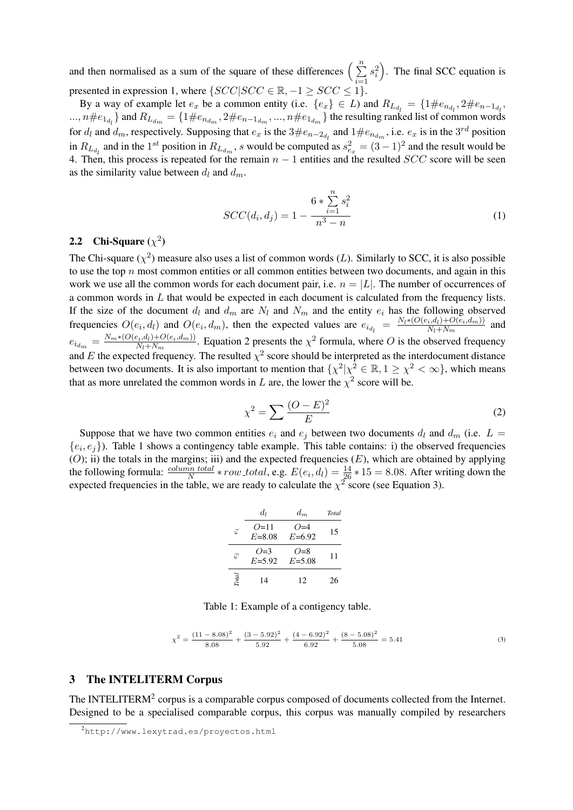and then normalised as a sum of the square of these differences  $\left(\sum_{n=1}^{n}$  $i=1$  $s_i^2$ ). The final SCC equation is presented in expression 1, where  $\{SCC|SCC \in \mathbb{R}, -1 \geq SCC \leq 1\}$ .

By a way of example let  $e_x$  be a common entity (i.e.  $\{e_x\} \in L$ ) and  $R_{L_{d_l}} = \{1 \# e_{n_{d_l}}, 2 \# e_{n-1_{d_l}}, \dots \}$  $k=1, n\neq e_{1_{d_l}}$  and  $R_{L_{d_m}} = \{1\neq e_{n_{d_m}}, 2\neq e_{n-1_{d_m}}, ..., n\neq e_{1_{d_m}}\}$  the resulting ranked list of common words for  $d_l$  and  $d_m$ , respectively. Supposing that  $e_x$  is the  $3\#e_{n-2_{d_l}}$  and  $1\#e_{n_{d_m}}$ , i.e.  $e_x$  is in the  $3^{rd}$  position in  $R_{L_{d_l}}$  and in the 1<sup>st</sup> position in  $R_{L_{d_m}}$ , s would be computed as  $s_{e_x}^2 = (3-1)^2$  and the result would be 4. Then, this process is repeated for the remain  $n - 1$  entities and the resulted  $SCC$  score will be seen as the similarity value between  $d_l$  and  $d_m$ .

$$
SCC(d_i, d_j) = 1 - \frac{6 * \sum_{i=1}^{n} s_i^2}{n^3 - n}
$$
 (1)

# 2.2 Chi-Square  $(\chi^2)$

The Chi-square ( $\chi^2$ ) measure also uses a list of common words (*L*). Similarly to SCC, it is also possible to use the top  $n$  most common entities or all common entities between two documents, and again in this work we use all the common words for each document pair, i.e.  $n = |L|$ . The number of occurrences of a common words in  $L$  that would be expected in each document is calculated from the frequency lists. If the size of the document  $d_l$  and  $d_m$  are  $N_l$  and  $N_m$  and the entity  $e_i$  has the following observed frequencies  $O(e_i, d_i)$  and  $O(e_i, d_m)$ , then the expected values are  $e_{i_{d_i}} = \frac{N_l * (O(e_i, d_l) + O(e_i, d_m))}{N_l + N_m}$  $\frac{N_l+1+O(e_i,a_m))}{N_l+N_m}$  and  $e_{i_{dm}} = \frac{N_m * (O(e_i, d_l) + O(e_i, d_m))}{N_l + N_m}$  $\frac{(e_i, d_i) + O(e_i, d_m)}{N_l + N_m}$ . Equation 2 presents the  $\chi^2$  formula, where O is the observed frequency and E the expected frequency. The resulted  $\chi^2$  score should be interpreted as the interdocument distance between two documents. It is also important to mention that  $\{\chi^2 | \chi^2 \in \mathbb{R}, 1 \geq \chi^2 < \infty\}$ , which means that as more unrelated the common words in L are, the lower the  $\chi^2$  score will be.

$$
\chi^2 = \sum \frac{(O - E)^2}{E} \tag{2}
$$

Suppose that we have two common entities  $e_i$  and  $e_j$  between two documents  $d_l$  and  $d_m$  (i.e.  $L =$  $\{e_i, e_j\}$ ). Table 1 shows a contingency table example. This table contains: i) the observed frequencies  $(0)$ ; ii) the totals in the margins; iii) and the expected frequencies  $(E)$ , which are obtained by applying the following formula:  $\frac{column \ total}{N} * row\_total$ , e.g.  $E(e_i, d_i) = \frac{14}{26} * 15 = 8.08$ . After writing down the expected frequencies in the table, we are ready to calculate the  $\chi^2$  score (see Equation 3).

|               | $d_{I}$              | $d_m$               | <b>Total</b> |
|---------------|----------------------|---------------------|--------------|
| $\ddot{e_i}$  | $Q=11$<br>$E = 8.08$ | $O=4$<br>$E = 6.92$ | 15           |
| $\mathcal{C}$ | $O=3$<br>$E = 5.92$  | $O=8$<br>$E = 5.08$ | 11           |
| Total         | 14                   | 12                  | 26           |

Table 1: Example of a contigency table.

$$
\chi^2 = \frac{(11 - 8.08)^2}{8.08} + \frac{(3 - 5.92)^2}{5.92} + \frac{(4 - 6.92)^2}{6.92} + \frac{(8 - 5.08)^2}{5.08} = 5.41\tag{3}
$$

# 3 The INTELITERM Corpus

The INTELITERM<sup>2</sup> corpus is a comparable corpus composed of documents collected from the Internet. Designed to be a specialised comparable corpus, this corpus was manually compiled by researchers

<sup>2</sup>http://www.lexytrad.es/proyectos.html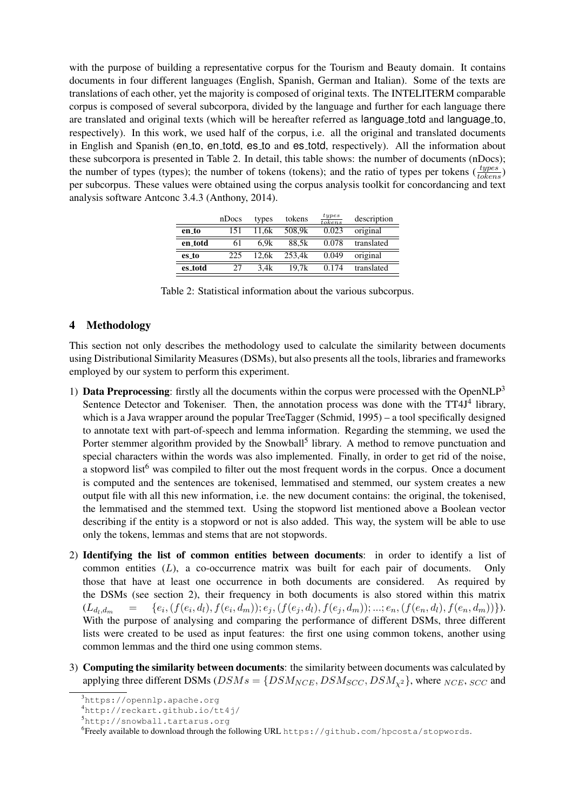with the purpose of building a representative corpus for the Tourism and Beauty domain. It contains documents in four different languages (English, Spanish, German and Italian). Some of the texts are translations of each other, yet the majority is composed of original texts. The INTELITERM comparable corpus is composed of several subcorpora, divided by the language and further for each language there are translated and original texts (which will be hereafter referred as language\_totd and language\_to, respectively). In this work, we used half of the corpus, i.e. all the original and translated documents in English and Spanish (en to, en totd, es to and es totd, respectively). All the information about these subcorpora is presented in Table 2. In detail, this table shows: the number of documents (nDocs); the number of types (types); the number of tokens (tokens); and the ratio of types per tokens  $(\frac{types}{tokens})$ per subcorpus. These values were obtained using the corpus analysis toolkit for concordancing and text analysis software Antconc 3.4.3 (Anthony, 2014).

|         | nDocs | types | tokens | types<br>to kens | description |
|---------|-------|-------|--------|------------------|-------------|
| en_to   | 151   | 11.6k | 508.9k | 0.023            | original    |
| en totd | 61    | 6.9k  | 88.5k  | 0.078            | translated  |
| es to   | 225   | 12.6k | 253.4k | 0.049            | original    |
| es totd | 27    | 3.4k  | 19.7k  | 0.174            | translated  |

Table 2: Statistical information about the various subcorpus.

## 4 Methodology

This section not only describes the methodology used to calculate the similarity between documents using Distributional Similarity Measures (DSMs), but also presents all the tools, libraries and frameworks employed by our system to perform this experiment.

- 1) **Data Preprocessing**: firstly all the documents within the corpus were processed with the OpenNLP<sup>3</sup> Sentence Detector and Tokeniser. Then, the annotation process was done with the TT4J<sup>4</sup> library, which is a Java wrapper around the popular TreeTagger (Schmid, 1995) – a tool specifically designed to annotate text with part-of-speech and lemma information. Regarding the stemming, we used the Porter stemmer algorithm provided by the Snowball<sup>5</sup> library. A method to remove punctuation and special characters within the words was also implemented. Finally, in order to get rid of the noise, a stopword list<sup>6</sup> was compiled to filter out the most frequent words in the corpus. Once a document is computed and the sentences are tokenised, lemmatised and stemmed, our system creates a new output file with all this new information, i.e. the new document contains: the original, the tokenised, the lemmatised and the stemmed text. Using the stopword list mentioned above a Boolean vector describing if the entity is a stopword or not is also added. This way, the system will be able to use only the tokens, lemmas and stems that are not stopwords.
- 2) Identifying the list of common entities between documents: in order to identify a list of common entities  $(L)$ , a co-occurrence matrix was built for each pair of documents. Only those that have at least one occurrence in both documents are considered. As required by the DSMs (see section 2), their frequency in both documents is also stored within this matrix  $(L_{d_l,d_m} = \{e_i\})$  $, (f(e_i, d_l), f(e_i, d_m)); e_j, (f(e_j, d_l), f(e_j, d_m)); ...; e_n, (f(e_n, d_l), f(e_n, d_m))\}).$ With the purpose of analysing and comparing the performance of different DSMs, three different lists were created to be used as input features: the first one using common tokens, another using common lemmas and the third one using common stems.
- 3) Computing the similarity between documents: the similarity between documents was calculated by applying three different DSMs ( $DSMs = \{DSM_{NCE}, DSM_{SCC}, DSM_{\chi^2}\}$ , where  $_{NCE}, _{SCC}$  and

<sup>3</sup>https://opennlp.apache.org

<sup>4</sup>http://reckart.github.io/tt4j/

<sup>5</sup>http://snowball.tartarus.org

 $^6$ Freely available to download through the following URL <code>https://github.com/hpcosta/stopwords.</code>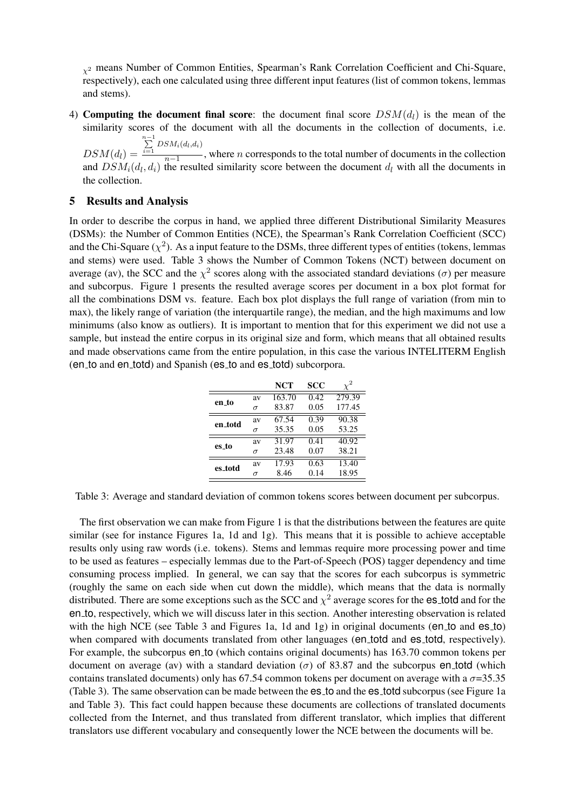$\chi^2$  means Number of Common Entities, Spearman's Rank Correlation Coefficient and Chi-Square, respectively), each one calculated using three different input features (list of common tokens, lemmas and stems).

4) Computing the document final score: the document final score  $DSM(d_l)$  is the mean of the similarity scores of the document with all the documents in the collection of documents, i.e.  $\sum_{i=1}^{n-1}$  DSM<sub>i</sub>(d<sub>l</sub>,d<sub>i</sub>)

 $DSM(d_l) =$  $\frac{n-1}{n-1}$ , where *n* corresponds to the total number of documents in the collection and  $DSM_i(d_l, d_i)$  the resulted similarity score between the document  $d_l$  with all the documents in the collection.

## 5 Results and Analysis

In order to describe the corpus in hand, we applied three different Distributional Similarity Measures (DSMs): the Number of Common Entities (NCE), the Spearman's Rank Correlation Coefficient (SCC) and the Chi-Square ( $\chi^2$ ). As a input feature to the DSMs, three different types of entities (tokens, lemmas and stems) were used. Table 3 shows the Number of Common Tokens (NCT) between document on average (av), the SCC and the  $\chi^2$  scores along with the associated standard deviations ( $\sigma$ ) per measure and subcorpus. Figure 1 presents the resulted average scores per document in a box plot format for all the combinations DSM vs. feature. Each box plot displays the full range of variation (from min to max), the likely range of variation (the interquartile range), the median, and the high maximums and low minimums (also know as outliers). It is important to mention that for this experiment we did not use a sample, but instead the entire corpus in its original size and form, which means that all obtained results and made observations came from the entire population, in this case the various INTELITERM English (en to and en totd) and Spanish (es to and es totd) subcorpora.

|         |          | NCT    | scc  |        |
|---------|----------|--------|------|--------|
| en to   | av       | 163.70 | 0.42 | 279.39 |
|         | $\sigma$ | 83.87  | 0.05 | 177.45 |
| en_totd | av       | 67.54  | 0.39 | 90.38  |
|         | $\sigma$ | 35.35  | 0.05 | 53.25  |
| es to   | av       | 31.97  | 0.41 | 40.92  |
|         | $\sigma$ | 23.48  | 0.07 | 38.21  |
| es_totd | av       | 17.93  | 0.63 | 13.40  |
|         | $\sigma$ | 8.46   | 0.14 | 18.95  |

Table 3: Average and standard deviation of common tokens scores between document per subcorpus.

The first observation we can make from Figure 1 is that the distributions between the features are quite similar (see for instance Figures 1a, 1d and 1g). This means that it is possible to achieve acceptable results only using raw words (i.e. tokens). Stems and lemmas require more processing power and time to be used as features – especially lemmas due to the Part-of-Speech (POS) tagger dependency and time consuming process implied. In general, we can say that the scores for each subcorpus is symmetric (roughly the same on each side when cut down the middle), which means that the data is normally distributed. There are some exceptions such as the SCC and  $\chi^2$  average scores for the es\_totd and for the en to, respectively, which we will discuss later in this section. Another interesting observation is related with the high NCE (see Table 3 and Figures 1a, 1d and 1g) in original documents (en to and es to) when compared with documents translated from other languages (en total and es total, respectively). For example, the subcorpus en to (which contains original documents) has 163.70 common tokens per document on average (av) with a standard deviation ( $\sigma$ ) of 83.87 and the subcorpus en totd (which contains translated documents) only has 67.54 common tokens per document on average with a  $\sigma$ =35.35 (Table 3). The same observation can be made between the es to and the es totd subcorpus (see Figure 1a and Table 3). This fact could happen because these documents are collections of translated documents collected from the Internet, and thus translated from different translator, which implies that different translators use different vocabulary and consequently lower the NCE between the documents will be.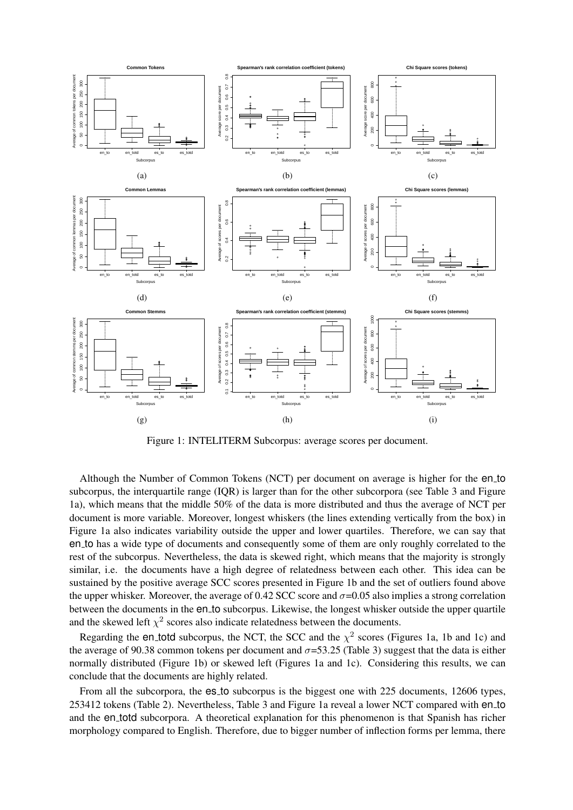

Figure 1: INTELITERM Subcorpus: average scores per document.

Although the Number of Common Tokens (NCT) per document on average is higher for the en to subcorpus, the interquartile range (IQR) is larger than for the other subcorpora (see Table 3 and Figure 1a), which means that the middle 50% of the data is more distributed and thus the average of NCT per document is more variable. Moreover, longest whiskers (the lines extending vertically from the box) in Figure 1a also indicates variability outside the upper and lower quartiles. Therefore, we can say that en to has a wide type of documents and consequently some of them are only roughly correlated to the rest of the subcorpus. Nevertheless, the data is skewed right, which means that the majority is strongly similar, i.e. the documents have a high degree of relatedness between each other. This idea can be sustained by the positive average SCC scores presented in Figure 1b and the set of outliers found above the upper whisker. Moreover, the average of 0.42 SCC score and  $\sigma$ =0.05 also implies a strong correlation between the documents in the en\_to subcorpus. Likewise, the longest whisker outside the upper quartile and the skewed left  $\chi^2$  scores also indicate relatedness between the documents.

Regarding the en\_totd subcorpus, the NCT, the SCC and the  $\chi^2$  scores (Figures 1a, 1b and 1c) and the average of 90.38 common tokens per document and  $\sigma$ =53.25 (Table 3) suggest that the data is either normally distributed (Figure 1b) or skewed left (Figures 1a and 1c). Considering this results, we can conclude that the documents are highly related.

From all the subcorpora, the es\_to subcorpus is the biggest one with 225 documents, 12606 types, 253412 tokens (Table 2). Nevertheless, Table 3 and Figure 1a reveal a lower NCT compared with en to and the en\_totd subcorpora. A theoretical explanation for this phenomenon is that Spanish has richer morphology compared to English. Therefore, due to bigger number of inflection forms per lemma, there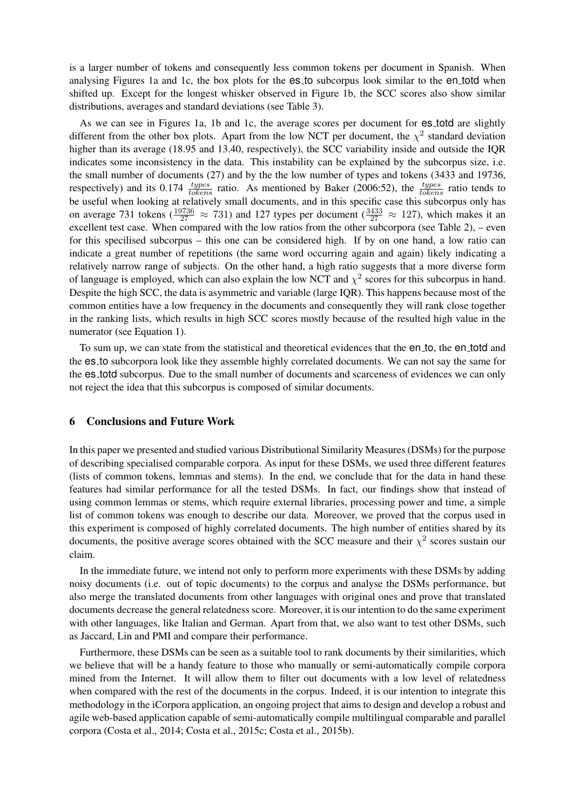is a larger number of tokens and consequently less common tokens per document in Spanish. When analysing Figures 1a and 1c, the box plots for the es<sup>to</sup> subcorpus look similar to the entorpoot when shifted up. Except for the longest whisker observed in Figure 1b, the SCC scores also show similar distributions, averages and standard deviations (see Table 3).

As we can see in Figures 1a, 1b and 1c, the average scores per document for es\_totd are slightly different from the other box plots. Apart from the low NCT per document, the  $\chi^2$  standard deviation higher than its average (18.95 and 13.40, respectively), the SCC variability inside and outside the IQR indicates some inconsistency in the data. This instability can be explained by the subcorpus size, i.e. the small number of documents (27) and by the the low number of types and tokens (3433 and 19736, respectively) and its 0.174  $\frac{types}{tokens}$  ratio. As mentioned by Baker (2006:52), the  $\frac{types}{tokens}$  ratio tends to be useful when looking at relatively small documents, and in this specific case this subcorpus only has on average 731 tokens ( $\frac{19736}{27} \approx 731$ ) and 127 types per document ( $\frac{3433}{27} \approx 127$ ), which makes it an excellent test case. When compared with the low ratios from the other subcorpora (see Table 2), – even for this specilised subcorpus – this one can be considered high. If by on one hand, a low ratio can indicate a great number of repetitions (the same word occurring again and again) likely indicating a relatively narrow range of subjects. On the other hand, a high ratio suggests that a more diverse form of language is employed, which can also explain the low NCT and  $\chi^2$  scores for this subcorpus in hand. Despite the high SCC, the data is asymmetric and variable (large IQR). This happens because most of the common entities have a low frequency in the documents and consequently they will rank close together in the ranking lists, which results in high SCC scores mostly because of the resulted high value in the numerator (see Equation 1).

To sum up, we can state from the statistical and theoretical evidences that the en<sub>-to</sub>, the en<sub>-totd</sub> and the es to subcorpora look like they assemble highly correlated documents. We can not say the same for the es totd subcorpus. Due to the small number of documents and scarceness of evidences we can only not reject the idea that this subcorpus is composed of similar documents.

#### 6 Conclusions and Future Work

In this paper we presented and studied various Distributional Similarity Measures (DSMs) for the purpose of describing specialised comparable corpora. As input for these DSMs, we used three different features (lists of common tokens, lemmas and stems). In the end, we conclude that for the data in hand these features had similar performance for all the tested DSMs. In fact, our findings show that instead of using common lemmas or stems, which require external libraries, processing power and time, a simple list of common tokens was enough to describe our data. Moreover, we proved that the corpus used in this experiment is composed of highly correlated documents. The high number of entities shared by its documents, the positive average scores obtained with the SCC measure and their  $\chi^2$  scores sustain our claim.

In the immediate future, we intend not only to perform more experiments with these DSMs by adding noisy documents (i.e. out of topic documents) to the corpus and analyse the DSMs performance, but also merge the translated documents from other languages with original ones and prove that translated documents decrease the general relatedness score. Moreover, it is our intention to do the same experiment with other languages, like Italian and German. Apart from that, we also want to test other DSMs, such as Jaccard, Lin and PMI and compare their performance.

Furthermore, these DSMs can be seen as a suitable tool to rank documents by their similarities, which we believe that will be a handy feature to those who manually or semi-automatically compile corpora mined from the Internet. It will allow them to filter out documents with a low level of relatedness when compared with the rest of the documents in the corpus. Indeed, it is our intention to integrate this methodology in the iCorpora application, an ongoing project that aims to design and develop a robust and agile web-based application capable of semi-automatically compile multilingual comparable and parallel corpora (Costa et al., 2014; Costa et al., 2015c; Costa et al., 2015b).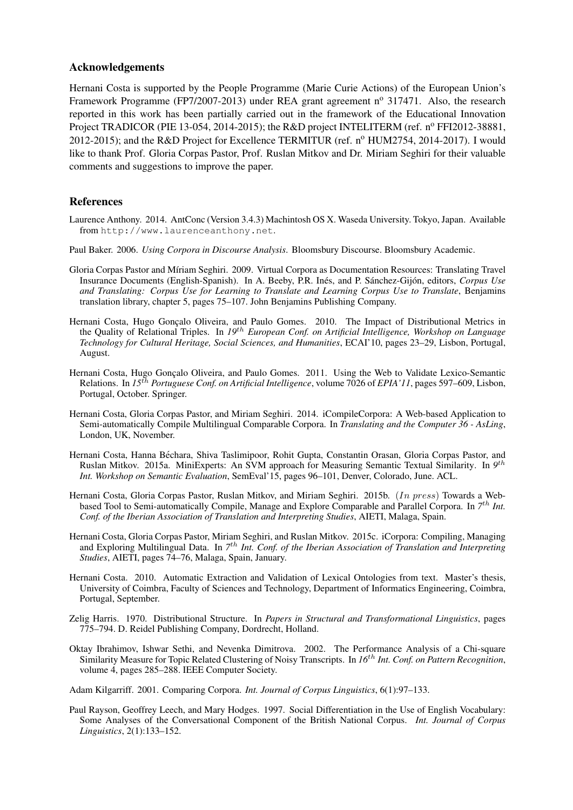### Acknowledgements

Hernani Costa is supported by the People Programme (Marie Curie Actions) of the European Union's Framework Programme (FP7/2007-2013) under REA grant agreement  $n^{\circ}$  317471. Also, the research reported in this work has been partially carried out in the framework of the Educational Innovation Project TRADICOR (PIE 13-054, 2014-2015); the R&D project INTELITERM (ref. nº FFI2012-38881, 2012-2015); and the R&D Project for Excellence TERMITUR (ref.  $n^{\circ}$  HUM2754, 2014-2017). I would like to thank Prof. Gloria Corpas Pastor, Prof. Ruslan Mitkov and Dr. Miriam Seghiri for their valuable comments and suggestions to improve the paper.

## References

- Laurence Anthony. 2014. AntConc (Version 3.4.3) Machintosh OS X. Waseda University. Tokyo, Japan. Available from http://www.laurenceanthony.net.
- Paul Baker. 2006. *Using Corpora in Discourse Analysis*. Bloomsbury Discourse. Bloomsbury Academic.
- Gloria Corpas Pastor and Míriam Seghiri. 2009. Virtual Corpora as Documentation Resources: Translating Travel Insurance Documents (English-Spanish). In A. Beeby, P.R. Inés, and P. Sánchez-Gijón, editors, *Corpus Use and Translating: Corpus Use for Learning to Translate and Learning Corpus Use to Translate*, Benjamins translation library, chapter 5, pages 75–107. John Benjamins Publishing Company.
- Hernani Costa, Hugo Gonçalo Oliveira, and Paulo Gomes. 2010. The Impact of Distributional Metrics in the Quality of Relational Triples. In *19*th *European Conf. on Artificial Intelligence, Workshop on Language Technology for Cultural Heritage, Social Sciences, and Humanities*, ECAI'10, pages 23–29, Lisbon, Portugal, August.
- Hernani Costa, Hugo Goncalo Oliveira, and Paulo Gomes. 2011. Using the Web to Validate Lexico-Semantic Relations. In *15*th *Portuguese Conf. on Artificial Intelligence*, volume 7026 of *EPIA'11*, pages 597–609, Lisbon, Portugal, October. Springer.
- Hernani Costa, Gloria Corpas Pastor, and Miriam Seghiri. 2014. iCompileCorpora: A Web-based Application to Semi-automatically Compile Multilingual Comparable Corpora. In *Translating and the Computer 36 - AsLing*, London, UK, November.
- Hernani Costa, Hanna Béchara, Shiva Taslimipoor, Rohit Gupta, Constantin Orasan, Gloria Corpas Pastor, and Ruslan Mitkov. 2015a. MiniExperts: An SVM approach for Measuring Semantic Textual Similarity. In 9<sup>th</sup> *Int. Workshop on Semantic Evaluation*, SemEval'15, pages 96–101, Denver, Colorado, June. ACL.
- Hernani Costa, Gloria Corpas Pastor, Ruslan Mitkov, and Miriam Seghiri. 2015b. (In press) Towards a Webbased Tool to Semi-automatically Compile, Manage and Explore Comparable and Parallel Corpora. In 7<sup>th</sup> Int. *Conf. of the Iberian Association of Translation and Interpreting Studies*, AIETI, Malaga, Spain.
- Hernani Costa, Gloria Corpas Pastor, Miriam Seghiri, and Ruslan Mitkov. 2015c. iCorpora: Compiling, Managing and Exploring Multilingual Data. In *7* th *Int. Conf. of the Iberian Association of Translation and Interpreting Studies*, AIETI, pages 74–76, Malaga, Spain, January.
- Hernani Costa. 2010. Automatic Extraction and Validation of Lexical Ontologies from text. Master's thesis, University of Coimbra, Faculty of Sciences and Technology, Department of Informatics Engineering, Coimbra, Portugal, September.
- Zelig Harris. 1970. Distributional Structure. In *Papers in Structural and Transformational Linguistics*, pages 775–794. D. Reidel Publishing Company, Dordrecht, Holland.
- Oktay Ibrahimov, Ishwar Sethi, and Nevenka Dimitrova. 2002. The Performance Analysis of a Chi-square Similarity Measure for Topic Related Clustering of Noisy Transcripts. In *16*th *Int. Conf. on Pattern Recognition*, volume 4, pages 285–288. IEEE Computer Society.

Adam Kilgarriff. 2001. Comparing Corpora. *Int. Journal of Corpus Linguistics*, 6(1):97–133.

Paul Rayson, Geoffrey Leech, and Mary Hodges. 1997. Social Differentiation in the Use of English Vocabulary: Some Analyses of the Conversational Component of the British National Corpus. *Int. Journal of Corpus Linguistics*, 2(1):133–152.